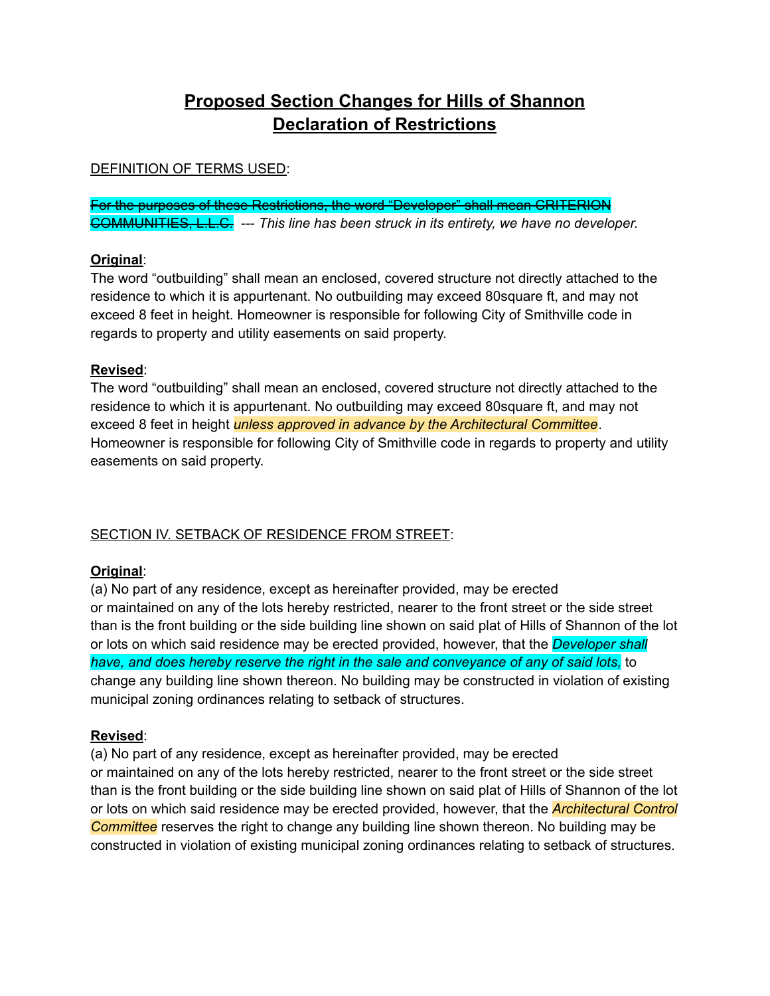# **Proposed Section Changes for Hills of Shannon Declaration of Restrictions**

### DEFINITION OF TERMS USED:

For the purposes of these Restrictions, the word "Developer" shall mean CRITERION COMMUNITIES, L.L.C. --- *This line has been struck in its entirety, we have no developer.*

### **Original**:

The word "outbuilding" shall mean an enclosed, covered structure not directly attached to the residence to which it is appurtenant. No outbuilding may exceed 80square ft, and may not exceed 8 feet in height. Homeowner is responsible for following City of Smithville code in regards to property and utility easements on said property.

#### **Revised**:

The word "outbuilding" shall mean an enclosed, covered structure not directly attached to the residence to which it is appurtenant. No outbuilding may exceed 80square ft, and may not exceed 8 feet in height *unless approved in advance by the Architectural Committee*. Homeowner is responsible for following City of Smithville code in regards to property and utility easements on said property.

# SECTION IV. SETBACK OF RESIDENCE FROM STREET:

# **Original**:

(a) No part of any residence, except as hereinafter provided, may be erected or maintained on any of the lots hereby restricted, nearer to the front street or the side street than is the front building or the side building line shown on said plat of Hills of Shannon of the lot or lots on which said residence may be erected provided, however, that the *Developer shall have, and does hereby reserve the right in the sale and conveyance of any of said lots,* to change any building line shown thereon. No building may be constructed in violation of existing municipal zoning ordinances relating to setback of structures.

# **Revised**:

(a) No part of any residence, except as hereinafter provided, may be erected or maintained on any of the lots hereby restricted, nearer to the front street or the side street than is the front building or the side building line shown on said plat of Hills of Shannon of the lot or lots on which said residence may be erected provided, however, that the *Architectural Control Committee* reserves the right to change any building line shown thereon. No building may be constructed in violation of existing municipal zoning ordinances relating to setback of structures.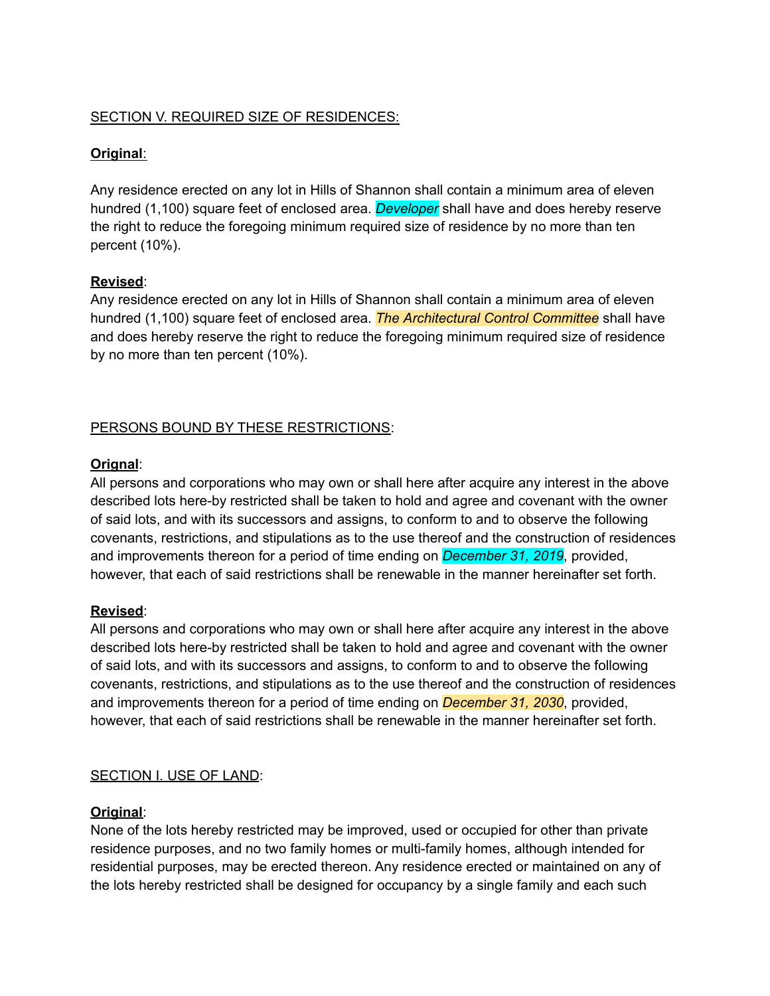# SECTION V. REQUIRED SIZE OF RESIDENCES:

# **Original**:

Any residence erected on any lot in Hills of Shannon shall contain a minimum area of eleven hundred (1,100) square feet of enclosed area. *Developer* shall have and does hereby reserve the right to reduce the foregoing minimum required size of residence by no more than ten percent (10%).

### **Revised**:

Any residence erected on any lot in Hills of Shannon shall contain a minimum area of eleven hundred (1,100) square feet of enclosed area. *The Architectural Control Committee* shall have and does hereby reserve the right to reduce the foregoing minimum required size of residence by no more than ten percent (10%).

# PERSONS BOUND BY THESE RESTRICTIONS:

# **Orignal**:

All persons and corporations who may own or shall here after acquire any interest in the above described lots here-by restricted shall be taken to hold and agree and covenant with the owner of said lots, and with its successors and assigns, to conform to and to observe the following covenants, restrictions, and stipulations as to the use thereof and the construction of residences and improvements thereon for a period of time ending on *December 31, 2019*, provided, however, that each of said restrictions shall be renewable in the manner hereinafter set forth.

#### **Revised**:

All persons and corporations who may own or shall here after acquire any interest in the above described lots here-by restricted shall be taken to hold and agree and covenant with the owner of said lots, and with its successors and assigns, to conform to and to observe the following covenants, restrictions, and stipulations as to the use thereof and the construction of residences and improvements thereon for a period of time ending on *December 31, 2030*, provided, however, that each of said restrictions shall be renewable in the manner hereinafter set forth.

# SECTION I. USE OF LAND:

# **Original**:

None of the lots hereby restricted may be improved, used or occupied for other than private residence purposes, and no two family homes or multi-family homes, although intended for residential purposes, may be erected thereon. Any residence erected or maintained on any of the lots hereby restricted shall be designed for occupancy by a single family and each such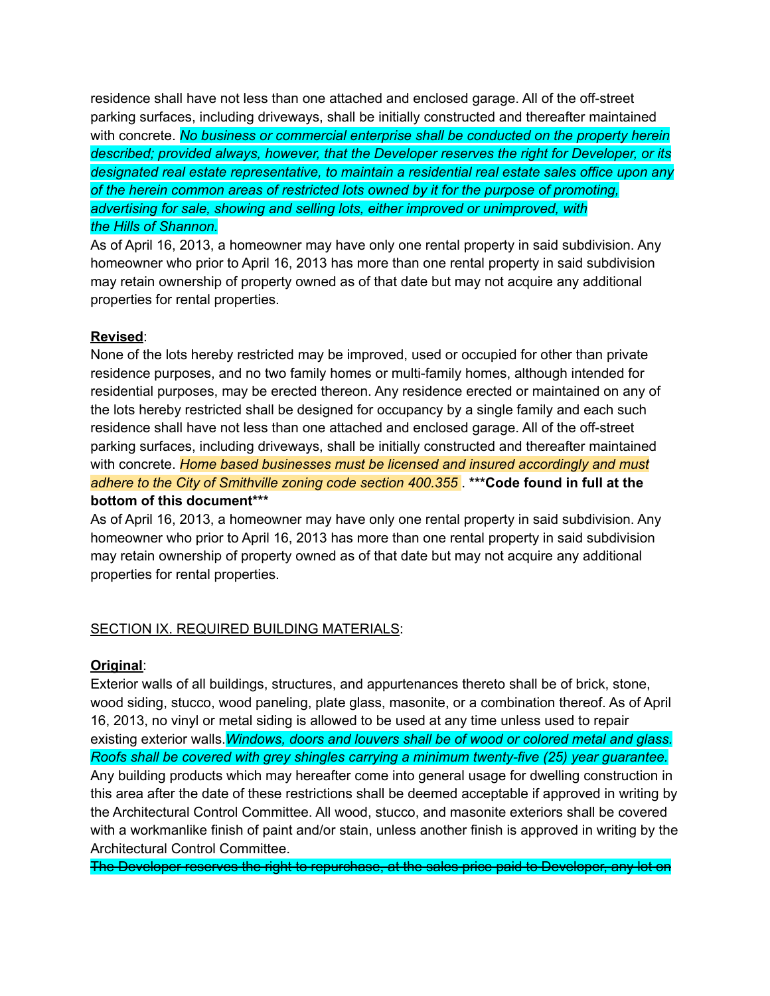residence shall have not less than one attached and enclosed garage. All of the off-street parking surfaces, including driveways, shall be initially constructed and thereafter maintained with concrete. *No business or commercial enterprise shall be conducted on the property herein described; provided always, however, that the Developer reserves the right for Developer, or its designated real estate representative, to maintain a residential real estate sales office upon any of the herein common areas of restricted lots owned by it for the purpose of promoting, advertising for sale, showing and selling lots, either improved or unimproved, with the Hills of Shannon.*

As of April 16, 2013, a homeowner may have only one rental property in said subdivision. Any homeowner who prior to April 16, 2013 has more than one rental property in said subdivision may retain ownership of property owned as of that date but may not acquire any additional properties for rental properties.

### **Revised**:

None of the lots hereby restricted may be improved, used or occupied for other than private residence purposes, and no two family homes or multi-family homes, although intended for residential purposes, may be erected thereon. Any residence erected or maintained on any of the lots hereby restricted shall be designed for occupancy by a single family and each such residence shall have not less than one attached and enclosed garage. All of the off-street parking surfaces, including driveways, shall be initially constructed and thereafter maintained with concrete. *Home based businesses must be licensed and insured accordingly and must adhere to the City of Smithville zoning code section 400.355* . **\*\*\*Code found in full at the bottom of this document\*\*\***

As of April 16, 2013, a homeowner may have only one rental property in said subdivision. Any homeowner who prior to April 16, 2013 has more than one rental property in said subdivision may retain ownership of property owned as of that date but may not acquire any additional properties for rental properties.

# SECTION IX. REQUIRED BUILDING MATERIALS:

#### **Original**:

Exterior walls of all buildings, structures, and appurtenances thereto shall be of brick, stone, wood siding, stucco, wood paneling, plate glass, masonite, or a combination thereof. As of April 16, 2013, no vinyl or metal siding is allowed to be used at any time unless used to repair existing exterior walls.*Windows, doors and louvers shall be of wood or colored metal and glass. Roofs shall be covered with grey shingles carrying a minimum twenty-five (25) year guarantee.* Any building products which may hereafter come into general usage for dwelling construction in this area after the date of these restrictions shall be deemed acceptable if approved in writing by the Architectural Control Committee. All wood, stucco, and masonite exteriors shall be covered with a workmanlike finish of paint and/or stain, unless another finish is approved in writing by the Architectural Control Committee.

The Developer reserves the right to repurchase, at the sales price paid to Developer, any lot on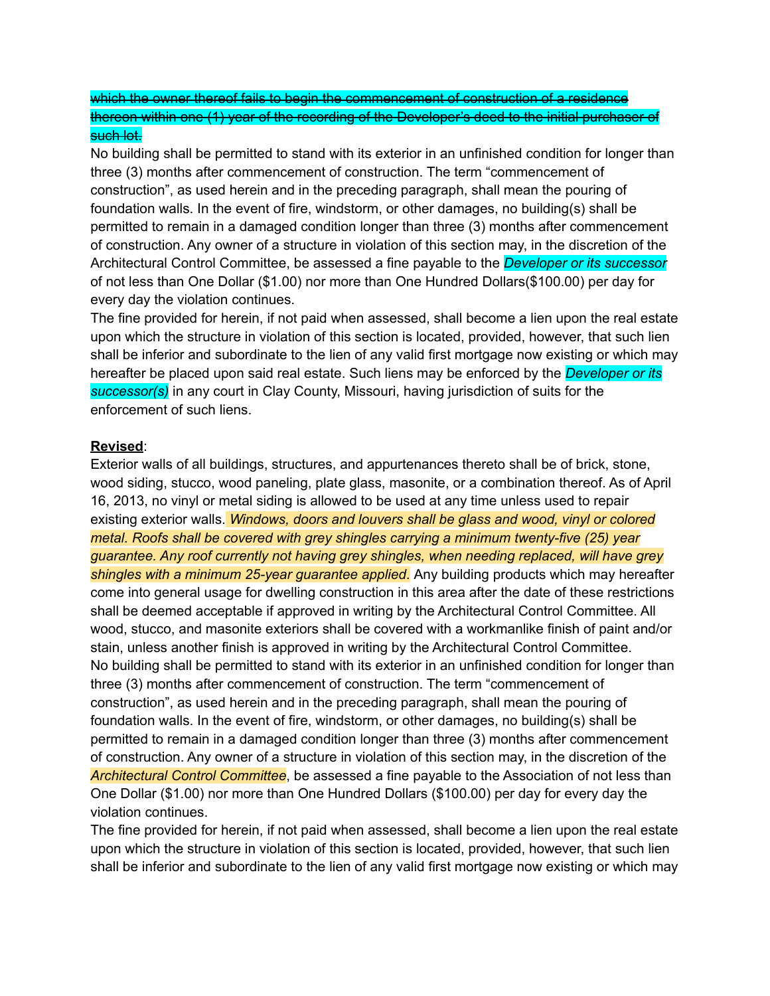which the owner thereof fails to begin the commencement of construction of a residence thereon within one (1) year of the recording of the Developer's deed to the initial purchaser of such lot.

No building shall be permitted to stand with its exterior in an unfinished condition for longer than three (3) months after commencement of construction. The term "commencement of construction", as used herein and in the preceding paragraph, shall mean the pouring of foundation walls. In the event of fire, windstorm, or other damages, no building(s) shall be permitted to remain in a damaged condition longer than three (3) months after commencement of construction. Any owner of a structure in violation of this section may, in the discretion of the Architectural Control Committee, be assessed a fine payable to the *Developer or its successor* of not less than One Dollar (\$1.00) nor more than One Hundred Dollars(\$100.00) per day for every day the violation continues.

The fine provided for herein, if not paid when assessed, shall become a lien upon the real estate upon which the structure in violation of this section is located, provided, however, that such lien shall be inferior and subordinate to the lien of any valid first mortgage now existing or which may hereafter be placed upon said real estate. Such liens may be enforced by the *Developer or its successor(s)* in any court in Clay County, Missouri, having jurisdiction of suits for the enforcement of such liens.

### **Revised**:

Exterior walls of all buildings, structures, and appurtenances thereto shall be of brick, stone, wood siding, stucco, wood paneling, plate glass, masonite, or a combination thereof. As of April 16, 2013, no vinyl or metal siding is allowed to be used at any time unless used to repair existing exterior walls. *Windows, doors and louvers shall be glass and wood, vinyl or colored metal. Roofs shall be covered with grey shingles carrying a minimum twenty-five (25) year guarantee. Any roof currently not having grey shingles, when needing replaced, will have grey shingles with a minimum 25-year guarantee applied*. Any building products which may hereafter come into general usage for dwelling construction in this area after the date of these restrictions shall be deemed acceptable if approved in writing by the Architectural Control Committee. All wood, stucco, and masonite exteriors shall be covered with a workmanlike finish of paint and/or stain, unless another finish is approved in writing by the Architectural Control Committee. No building shall be permitted to stand with its exterior in an unfinished condition for longer than three (3) months after commencement of construction. The term "commencement of construction", as used herein and in the preceding paragraph, shall mean the pouring of foundation walls. In the event of fire, windstorm, or other damages, no building(s) shall be permitted to remain in a damaged condition longer than three (3) months after commencement of construction. Any owner of a structure in violation of this section may, in the discretion of the *Architectural Control Committee*, be assessed a fine payable to the Association of not less than One Dollar (\$1.00) nor more than One Hundred Dollars (\$100.00) per day for every day the violation continues.

The fine provided for herein, if not paid when assessed, shall become a lien upon the real estate upon which the structure in violation of this section is located, provided, however, that such lien shall be inferior and subordinate to the lien of any valid first mortgage now existing or which may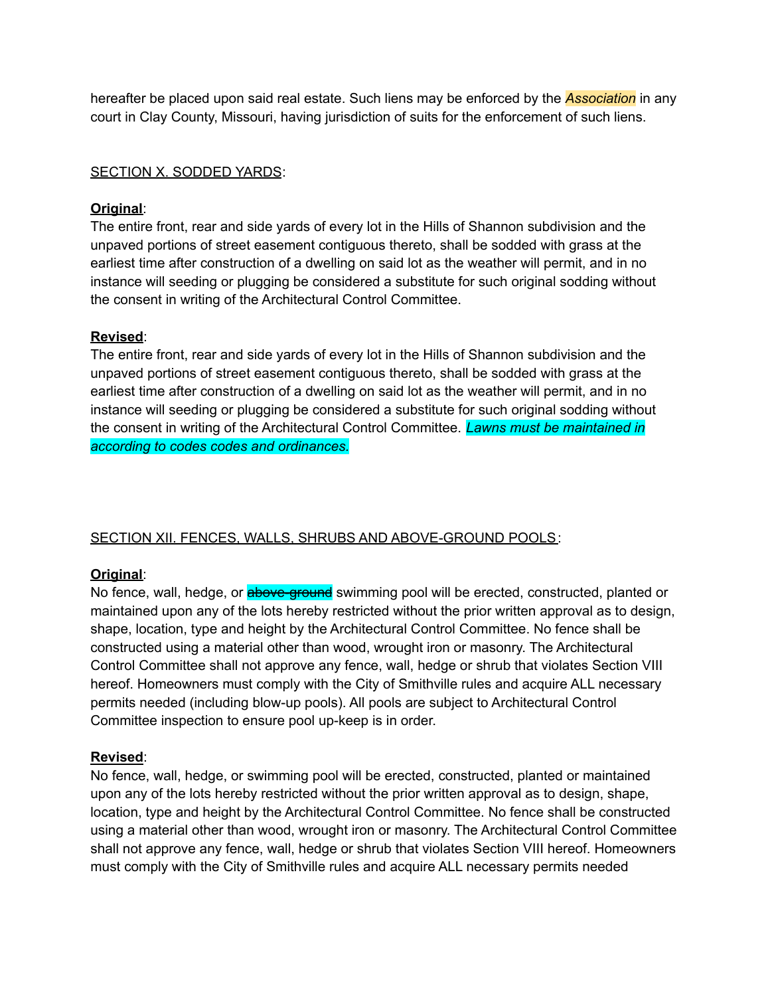hereafter be placed upon said real estate. Such liens may be enforced by the *Association* in any court in Clay County, Missouri, having jurisdiction of suits for the enforcement of such liens.

### SECTION X. SODDED YARDS:

### **Original**:

The entire front, rear and side yards of every lot in the Hills of Shannon subdivision and the unpaved portions of street easement contiguous thereto, shall be sodded with grass at the earliest time after construction of a dwelling on said lot as the weather will permit, and in no instance will seeding or plugging be considered a substitute for such original sodding without the consent in writing of the Architectural Control Committee.

### **Revised**:

The entire front, rear and side yards of every lot in the Hills of Shannon subdivision and the unpaved portions of street easement contiguous thereto, shall be sodded with grass at the earliest time after construction of a dwelling on said lot as the weather will permit, and in no instance will seeding or plugging be considered a substitute for such original sodding without the consent in writing of the Architectural Control Committee. *Lawns must be maintained in according to codes codes and ordinances.*

# SECTION XII. FENCES, WALLS, SHRUBS AND ABOVE-GROUND POOLS:

# **Original**:

No fence, wall, hedge, or **above-ground** swimming pool will be erected, constructed, planted or maintained upon any of the lots hereby restricted without the prior written approval as to design, shape, location, type and height by the Architectural Control Committee. No fence shall be constructed using a material other than wood, wrought iron or masonry. The Architectural Control Committee shall not approve any fence, wall, hedge or shrub that violates Section VIII hereof. Homeowners must comply with the City of Smithville rules and acquire ALL necessary permits needed (including blow-up pools). All pools are subject to Architectural Control Committee inspection to ensure pool up-keep is in order.

#### **Revised**:

No fence, wall, hedge, or swimming pool will be erected, constructed, planted or maintained upon any of the lots hereby restricted without the prior written approval as to design, shape, location, type and height by the Architectural Control Committee. No fence shall be constructed using a material other than wood, wrought iron or masonry. The Architectural Control Committee shall not approve any fence, wall, hedge or shrub that violates Section VIII hereof. Homeowners must comply with the City of Smithville rules and acquire ALL necessary permits needed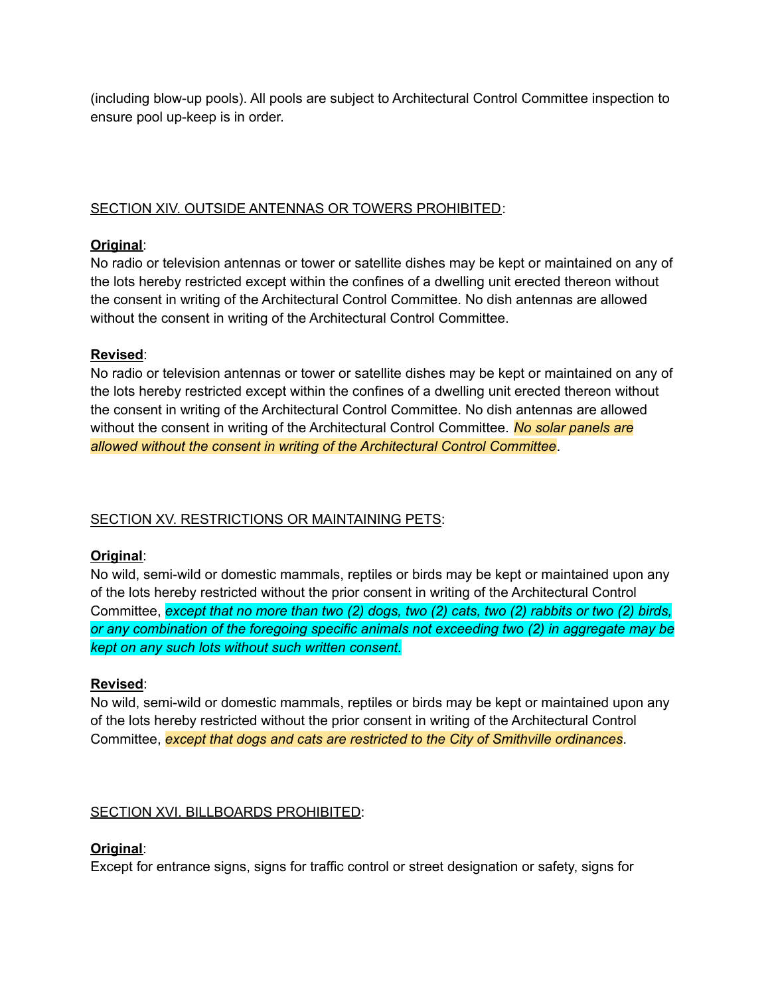(including blow-up pools). All pools are subject to Architectural Control Committee inspection to ensure pool up-keep is in order.

### SECTION XIV. OUTSIDE ANTENNAS OR TOWERS PROHIBITED:

### **Original**:

No radio or television antennas or tower or satellite dishes may be kept or maintained on any of the lots hereby restricted except within the confines of a dwelling unit erected thereon without the consent in writing of the Architectural Control Committee. No dish antennas are allowed without the consent in writing of the Architectural Control Committee.

### **Revised**:

No radio or television antennas or tower or satellite dishes may be kept or maintained on any of the lots hereby restricted except within the confines of a dwelling unit erected thereon without the consent in writing of the Architectural Control Committee. No dish antennas are allowed without the consent in writing of the Architectural Control Committee. *No solar panels are allowed without the consent in writing of the Architectural Control Committee*.

# SECTION XV. RESTRICTIONS OR MAINTAINING PETS:

#### **Original**:

No wild, semi-wild or domestic mammals, reptiles or birds may be kept or maintained upon any of the lots hereby restricted without the prior consent in writing of the Architectural Control Committee, *except that no more than two (2) dogs, two (2) cats, two (2) rabbits or two (2) birds, or any combination of the foregoing specific animals not exceeding two (2) in aggregate may be kept on any such lots without such written consent.*

#### **Revised**:

No wild, semi-wild or domestic mammals, reptiles or birds may be kept or maintained upon any of the lots hereby restricted without the prior consent in writing of the Architectural Control Committee, *except that dogs and cats are restricted to the City of Smithville ordinances*.

# SECTION XVI. BILLBOARDS PROHIBITED:

# **Original**:

Except for entrance signs, signs for traffic control or street designation or safety, signs for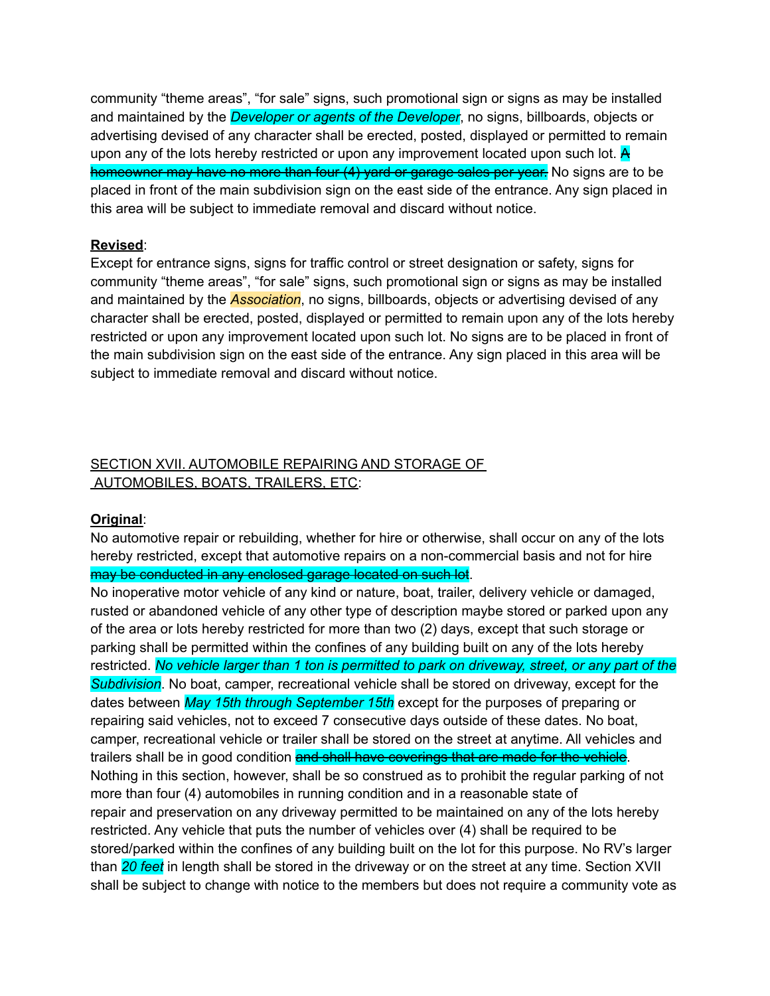community "theme areas", "for sale" signs, such promotional sign or signs as may be installed and maintained by the *Developer or agents of the Developer*, no signs, billboards, objects or advertising devised of any character shall be erected, posted, displayed or permitted to remain upon any of the lots hereby restricted or upon any improvement located upon such lot.  $\overline{A}$ homeowner may have no more than four (4) yard or garage sales per year. No signs are to be placed in front of the main subdivision sign on the east side of the entrance. Any sign placed in this area will be subject to immediate removal and discard without notice.

#### **Revised**:

Except for entrance signs, signs for traffic control or street designation or safety, signs for community "theme areas", "for sale" signs, such promotional sign or signs as may be installed and maintained by the *Association*, no signs, billboards, objects or advertising devised of any character shall be erected, posted, displayed or permitted to remain upon any of the lots hereby restricted or upon any improvement located upon such lot. No signs are to be placed in front of the main subdivision sign on the east side of the entrance. Any sign placed in this area will be subject to immediate removal and discard without notice.

# SECTION XVII. AUTOMOBILE REPAIRING AND STORAGE OF AUTOMOBILES, BOATS, TRAILERS, ETC:

#### **Original**:

No automotive repair or rebuilding, whether for hire or otherwise, shall occur on any of the lots hereby restricted, except that automotive repairs on a non-commercial basis and not for hire may be conducted in any enclosed garage located on such lot.

No inoperative motor vehicle of any kind or nature, boat, trailer, delivery vehicle or damaged, rusted or abandoned vehicle of any other type of description maybe stored or parked upon any of the area or lots hereby restricted for more than two (2) days, except that such storage or parking shall be permitted within the confines of any building built on any of the lots hereby restricted. No vehicle larger than 1 ton is permitted to park on driveway, street, or any part of the *Subdivision*. No boat, camper, recreational vehicle shall be stored on driveway, except for the dates between *May 15th through September 15th* except for the purposes of preparing or repairing said vehicles, not to exceed 7 consecutive days outside of these dates. No boat, camper, recreational vehicle or trailer shall be stored on the street at anytime. All vehicles and trailers shall be in good condition and shall have coverings that are made for the vehicle. Nothing in this section, however, shall be so construed as to prohibit the regular parking of not more than four (4) automobiles in running condition and in a reasonable state of repair and preservation on any driveway permitted to be maintained on any of the lots hereby restricted. Any vehicle that puts the number of vehicles over (4) shall be required to be stored/parked within the confines of any building built on the lot for this purpose. No RV's larger than *20 feet* in length shall be stored in the driveway or on the street at any time. Section XVII shall be subject to change with notice to the members but does not require a community vote as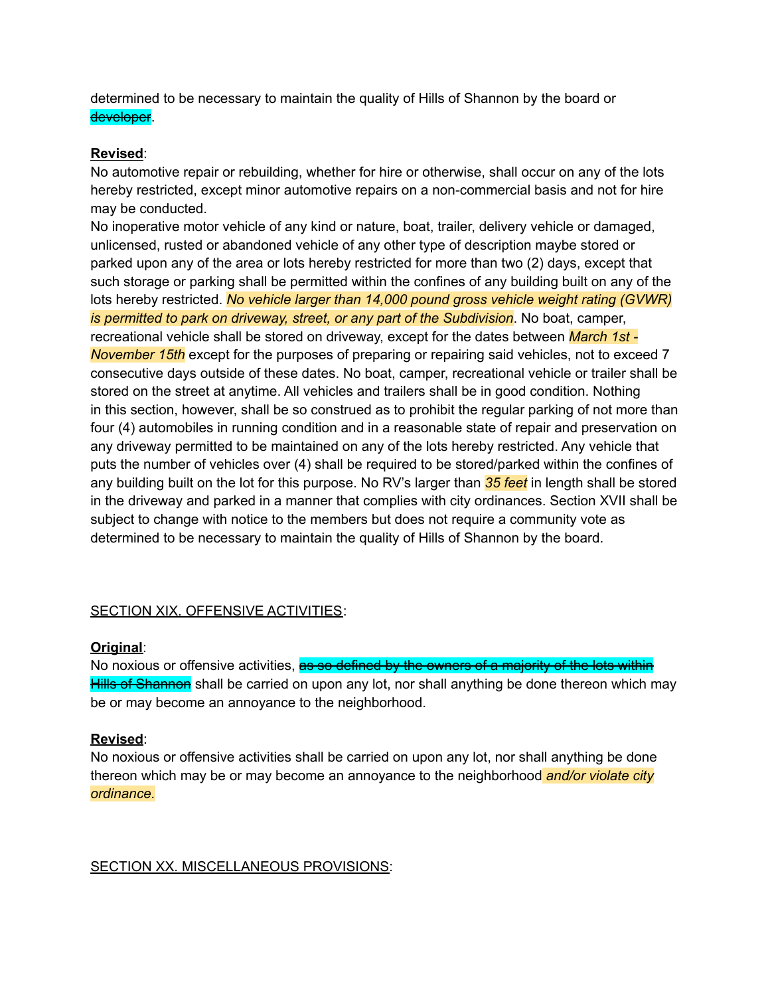determined to be necessary to maintain the quality of Hills of Shannon by the board or developer.

### **Revised**:

No automotive repair or rebuilding, whether for hire or otherwise, shall occur on any of the lots hereby restricted, except minor automotive repairs on a non-commercial basis and not for hire may be conducted.

No inoperative motor vehicle of any kind or nature, boat, trailer, delivery vehicle or damaged, unlicensed, rusted or abandoned vehicle of any other type of description maybe stored or parked upon any of the area or lots hereby restricted for more than two (2) days, except that such storage or parking shall be permitted within the confines of any building built on any of the lots hereby restricted. *No vehicle larger than 14,000 pound gross vehicle weight rating (GVWR) is permitted to park on driveway, street, or any part of the Subdivision*. No boat, camper, recreational vehicle shall be stored on driveway, except for the dates between *March 1st - November 15th* except for the purposes of preparing or repairing said vehicles, not to exceed 7 consecutive days outside of these dates. No boat, camper, recreational vehicle or trailer shall be stored on the street at anytime. All vehicles and trailers shall be in good condition. Nothing in this section, however, shall be so construed as to prohibit the regular parking of not more than four (4) automobiles in running condition and in a reasonable state of repair and preservation on any driveway permitted to be maintained on any of the lots hereby restricted. Any vehicle that puts the number of vehicles over (4) shall be required to be stored/parked within the confines of any building built on the lot for this purpose. No RV's larger than *35 feet* in length shall be stored in the driveway and parked in a manner that complies with city ordinances. Section XVII shall be subject to change with notice to the members but does not require a community vote as determined to be necessary to maintain the quality of Hills of Shannon by the board.

# SECTION XIX. OFFENSIVE ACTIVITIES:

#### **Original**:

No noxious or offensive activities, as so defined by the owners of a majority of the lots within Hills of Shannon shall be carried on upon any lot, nor shall anything be done thereon which may be or may become an annoyance to the neighborhood.

#### **Revised**:

No noxious or offensive activities shall be carried on upon any lot, nor shall anything be done thereon which may be or may become an annoyance to the neighborhood *and/or violate city ordinance.*

#### SECTION XX. MISCELLANEOUS PROVISIONS: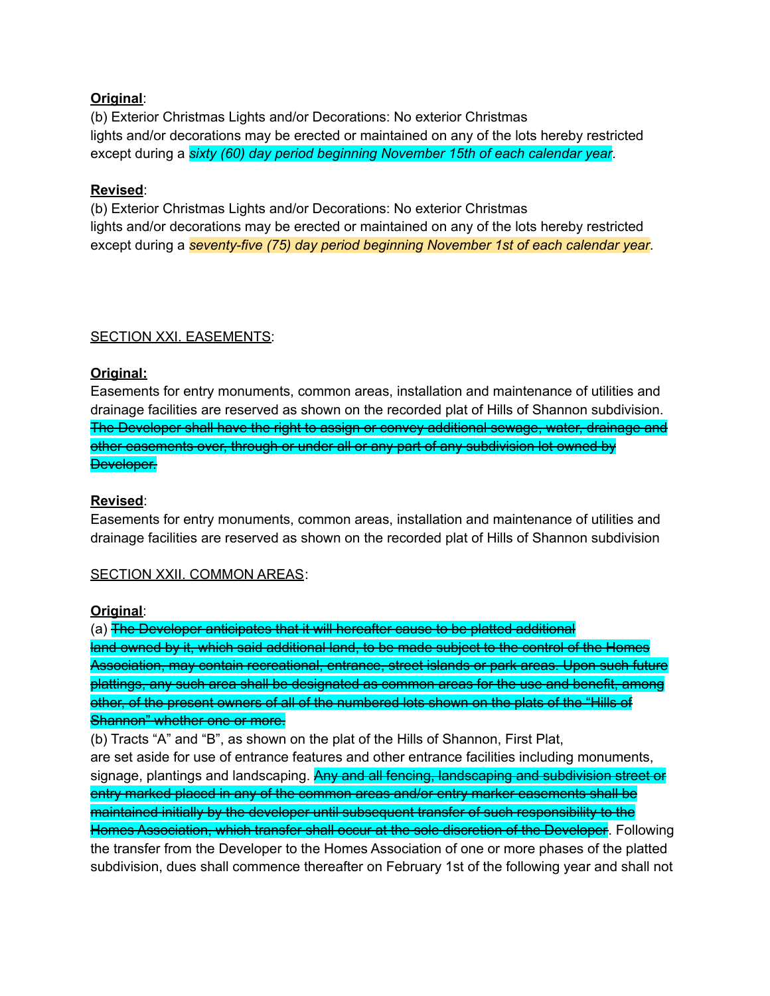#### **Original**:

(b) Exterior Christmas Lights and/or Decorations: No exterior Christmas lights and/or decorations may be erected or maintained on any of the lots hereby restricted except during a *sixty (60) day period beginning November 15th of each calendar year*.

### **Revised**:

(b) Exterior Christmas Lights and/or Decorations: No exterior Christmas lights and/or decorations may be erected or maintained on any of the lots hereby restricted except during a *seventy-five (75) day period beginning November 1st of each calendar year*.

### SECTION XXI. EASEMENTS:

### **Original:**

Easements for entry monuments, common areas, installation and maintenance of utilities and drainage facilities are reserved as shown on the recorded plat of Hills of Shannon subdivision. The Developer shall have the right to assign or convey additional sewage, water, drainage and other easements over, through or under all or any part of any subdivision lot owned by Developer.

#### **Revised**:

Easements for entry monuments, common areas, installation and maintenance of utilities and drainage facilities are reserved as shown on the recorded plat of Hills of Shannon subdivision

#### SECTION XXII. COMMON AREAS:

#### **Original**:

(a) The Developer anticipates that it will hereafter cause to be platted additional land owned by it, which said additional land, to be made subject to the control of the Homes Association, may contain recreational, entrance, street islands or park areas. Upon such future plattings, any such area shall be designated as common areas for the use and benefit, among other, of the present owners of all of the numbered lots shown on the plats of the "Hills of Shannon" whether one or more.

(b) Tracts "A" and "B", as shown on the plat of the Hills of Shannon, First Plat, are set aside for use of entrance features and other entrance facilities including monuments, signage, plantings and landscaping. Any and all fencing, landscaping and subdivision street or entry marked placed in any of the common areas and/or entry marker easements shall be maintained initially by the developer until subsequent transfer of such responsibility to the Homes Association, which transfer shall occur at the sole discretion of the Developer. Following the transfer from the Developer to the Homes Association of one or more phases of the platted subdivision, dues shall commence thereafter on February 1st of the following year and shall not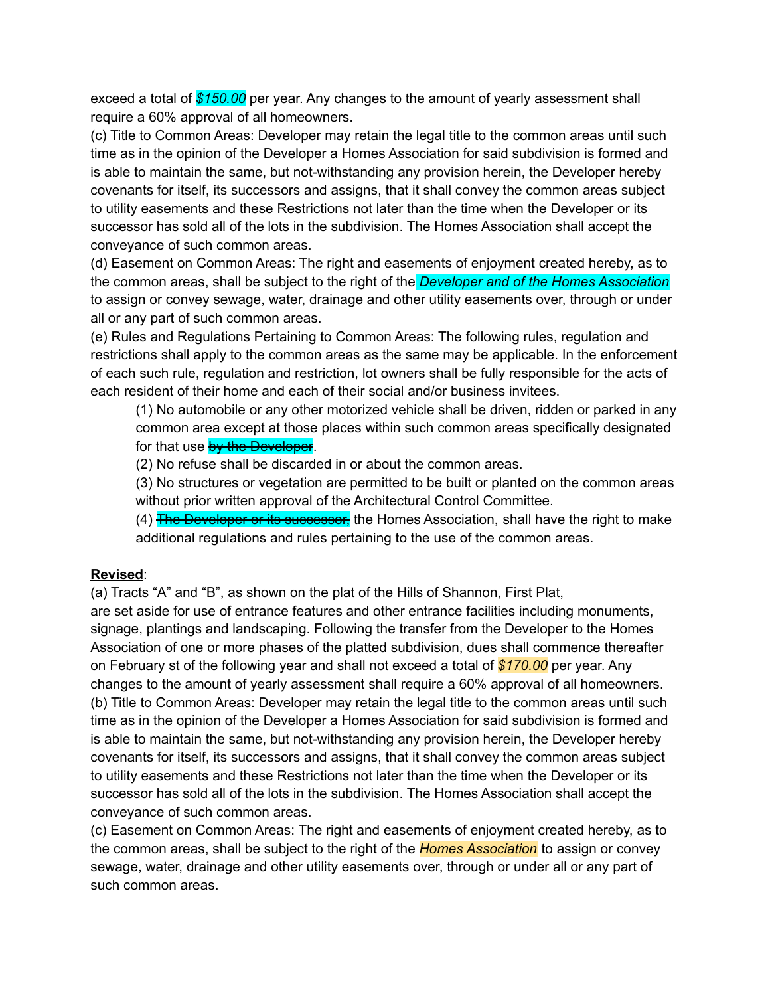exceed a total of *\$150.00* per year. Any changes to the amount of yearly assessment shall require a 60% approval of all homeowners.

(c) Title to Common Areas: Developer may retain the legal title to the common areas until such time as in the opinion of the Developer a Homes Association for said subdivision is formed and is able to maintain the same, but not-withstanding any provision herein, the Developer hereby covenants for itself, its successors and assigns, that it shall convey the common areas subject to utility easements and these Restrictions not later than the time when the Developer or its successor has sold all of the lots in the subdivision. The Homes Association shall accept the conveyance of such common areas.

(d) Easement on Common Areas: The right and easements of enjoyment created hereby, as to the common areas, shall be subject to the right of the *Developer and of the Homes Association* to assign or convey sewage, water, drainage and other utility easements over, through or under all or any part of such common areas.

(e) Rules and Regulations Pertaining to Common Areas: The following rules, regulation and restrictions shall apply to the common areas as the same may be applicable. In the enforcement of each such rule, regulation and restriction, lot owners shall be fully responsible for the acts of each resident of their home and each of their social and/or business invitees.

(1) No automobile or any other motorized vehicle shall be driven, ridden or parked in any common area except at those places within such common areas specifically designated for that use by the Developer.

(2) No refuse shall be discarded in or about the common areas.

(3) No structures or vegetation are permitted to be built or planted on the common areas without prior written approval of the Architectural Control Committee.

(4) The Developer or its successor, the Homes Association, shall have the right to make additional regulations and rules pertaining to the use of the common areas.

#### **Revised**:

(a) Tracts "A" and "B", as shown on the plat of the Hills of Shannon, First Plat,

are set aside for use of entrance features and other entrance facilities including monuments, signage, plantings and landscaping. Following the transfer from the Developer to the Homes Association of one or more phases of the platted subdivision, dues shall commence thereafter on February st of the following year and shall not exceed a total of *\$170.00* per year. Any changes to the amount of yearly assessment shall require a 60% approval of all homeowners. (b) Title to Common Areas: Developer may retain the legal title to the common areas until such time as in the opinion of the Developer a Homes Association for said subdivision is formed and is able to maintain the same, but not-withstanding any provision herein, the Developer hereby covenants for itself, its successors and assigns, that it shall convey the common areas subject to utility easements and these Restrictions not later than the time when the Developer or its successor has sold all of the lots in the subdivision. The Homes Association shall accept the conveyance of such common areas.

(c) Easement on Common Areas: The right and easements of enjoyment created hereby, as to the common areas, shall be subject to the right of the *Homes Association* to assign or convey sewage, water, drainage and other utility easements over, through or under all or any part of such common areas.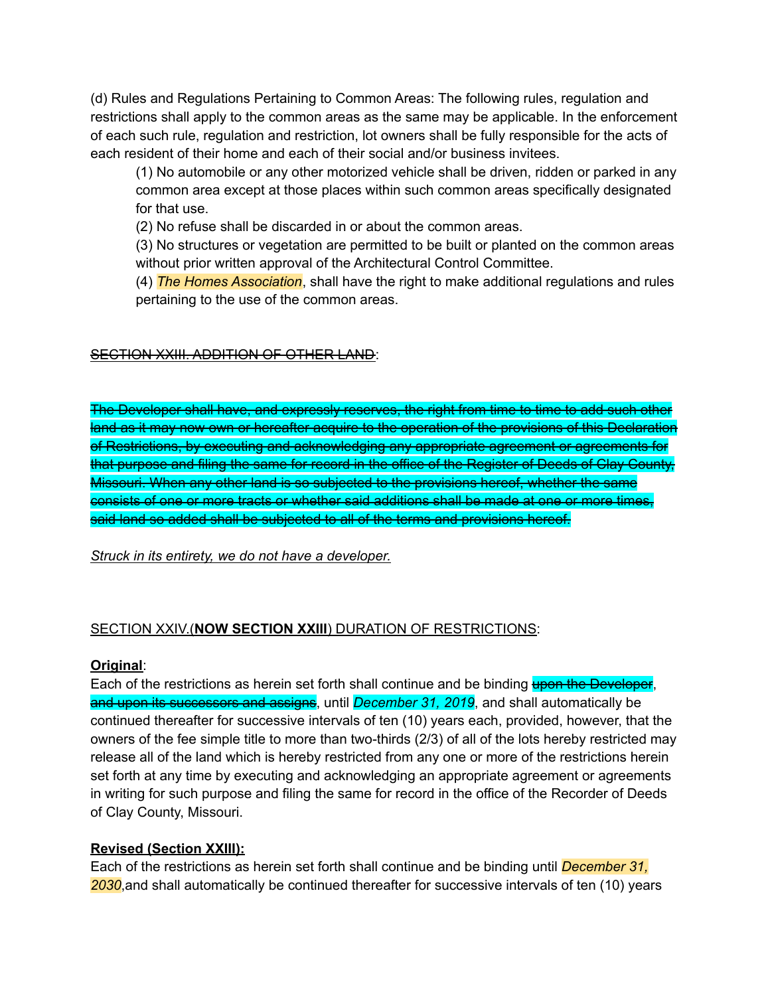(d) Rules and Regulations Pertaining to Common Areas: The following rules, regulation and restrictions shall apply to the common areas as the same may be applicable. In the enforcement of each such rule, regulation and restriction, lot owners shall be fully responsible for the acts of each resident of their home and each of their social and/or business invitees.

(1) No automobile or any other motorized vehicle shall be driven, ridden or parked in any common area except at those places within such common areas specifically designated for that use.

(2) No refuse shall be discarded in or about the common areas.

(3) No structures or vegetation are permitted to be built or planted on the common areas without prior written approval of the Architectural Control Committee.

(4) *The Homes Association*, shall have the right to make additional regulations and rules pertaining to the use of the common areas.

# SECTION XXIII. ADDITION OF OTHER LAND:

The Developer shall have, and expressly reserves, the right from time to time to add such other land as it may now own or hereafter acquire to the operation of the provisions of this Declaration of Restrictions, by executing and acknowledging any appropriate agreement or agreements for that purpose and filing the same for record in the office of the Register of Deeds of Clay County, Missouri. When any other land is so subjected to the provisions hereof, whether the same consists of one or more tracts or whether said additions shall be made at one or more times, said land so added shall be subjected to all of the terms and provisions hereof.

#### *Struck in its entirety, we do not have a developer.*

# SECTION XXIV.(**NOW SECTION XXIII**) DURATION OF RESTRICTIONS:

#### **Original**:

Each of the restrictions as herein set forth shall continue and be binding upon the Developer, and upon its successors and assigns, until *December 31, 2019*, and shall automatically be continued thereafter for successive intervals of ten (10) years each, provided, however, that the owners of the fee simple title to more than two-thirds (2/3) of all of the lots hereby restricted may release all of the land which is hereby restricted from any one or more of the restrictions herein set forth at any time by executing and acknowledging an appropriate agreement or agreements in writing for such purpose and filing the same for record in the office of the Recorder of Deeds of Clay County, Missouri.

#### **Revised (Section XXIII):**

Each of the restrictions as herein set forth shall continue and be binding until *December 31, 2030*,and shall automatically be continued thereafter for successive intervals of ten (10) years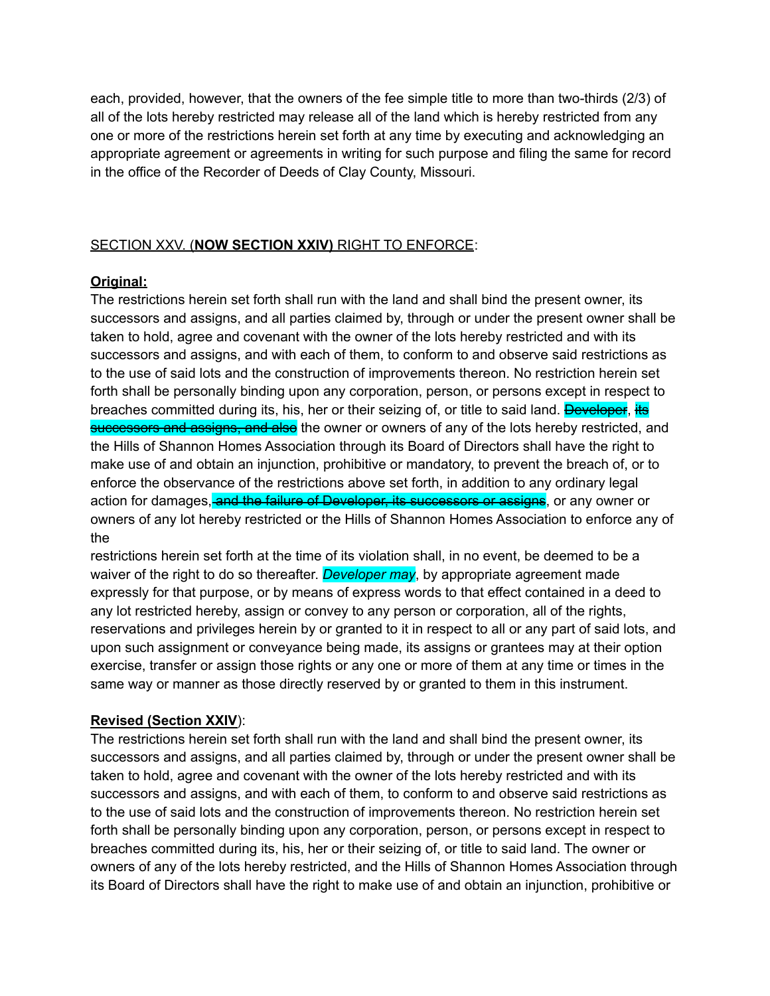each, provided, however, that the owners of the fee simple title to more than two-thirds (2/3) of all of the lots hereby restricted may release all of the land which is hereby restricted from any one or more of the restrictions herein set forth at any time by executing and acknowledging an appropriate agreement or agreements in writing for such purpose and filing the same for record in the office of the Recorder of Deeds of Clay County, Missouri.

# SECTION XXV. (**NOW SECTION XXIV)** RIGHT TO ENFORCE:

#### **Original:**

The restrictions herein set forth shall run with the land and shall bind the present owner, its successors and assigns, and all parties claimed by, through or under the present owner shall be taken to hold, agree and covenant with the owner of the lots hereby restricted and with its successors and assigns, and with each of them, to conform to and observe said restrictions as to the use of said lots and the construction of improvements thereon. No restriction herein set forth shall be personally binding upon any corporation, person, or persons except in respect to breaches committed during its, his, her or their seizing of, or title to said land. Developer, its successors and assigns, and also the owner or owners of any of the lots hereby restricted, and the Hills of Shannon Homes Association through its Board of Directors shall have the right to make use of and obtain an injunction, prohibitive or mandatory, to prevent the breach of, or to enforce the observance of the restrictions above set forth, in addition to any ordinary legal action for damages, and the failure of Developer, its successors or assigns, or any owner or owners of any lot hereby restricted or the Hills of Shannon Homes Association to enforce any of the

restrictions herein set forth at the time of its violation shall, in no event, be deemed to be a waiver of the right to do so thereafter. *Developer may*, by appropriate agreement made expressly for that purpose, or by means of express words to that effect contained in a deed to any lot restricted hereby, assign or convey to any person or corporation, all of the rights, reservations and privileges herein by or granted to it in respect to all or any part of said lots, and upon such assignment or conveyance being made, its assigns or grantees may at their option exercise, transfer or assign those rights or any one or more of them at any time or times in the same way or manner as those directly reserved by or granted to them in this instrument.

#### **Revised (Section XXIV**):

The restrictions herein set forth shall run with the land and shall bind the present owner, its successors and assigns, and all parties claimed by, through or under the present owner shall be taken to hold, agree and covenant with the owner of the lots hereby restricted and with its successors and assigns, and with each of them, to conform to and observe said restrictions as to the use of said lots and the construction of improvements thereon. No restriction herein set forth shall be personally binding upon any corporation, person, or persons except in respect to breaches committed during its, his, her or their seizing of, or title to said land. The owner or owners of any of the lots hereby restricted, and the Hills of Shannon Homes Association through its Board of Directors shall have the right to make use of and obtain an injunction, prohibitive or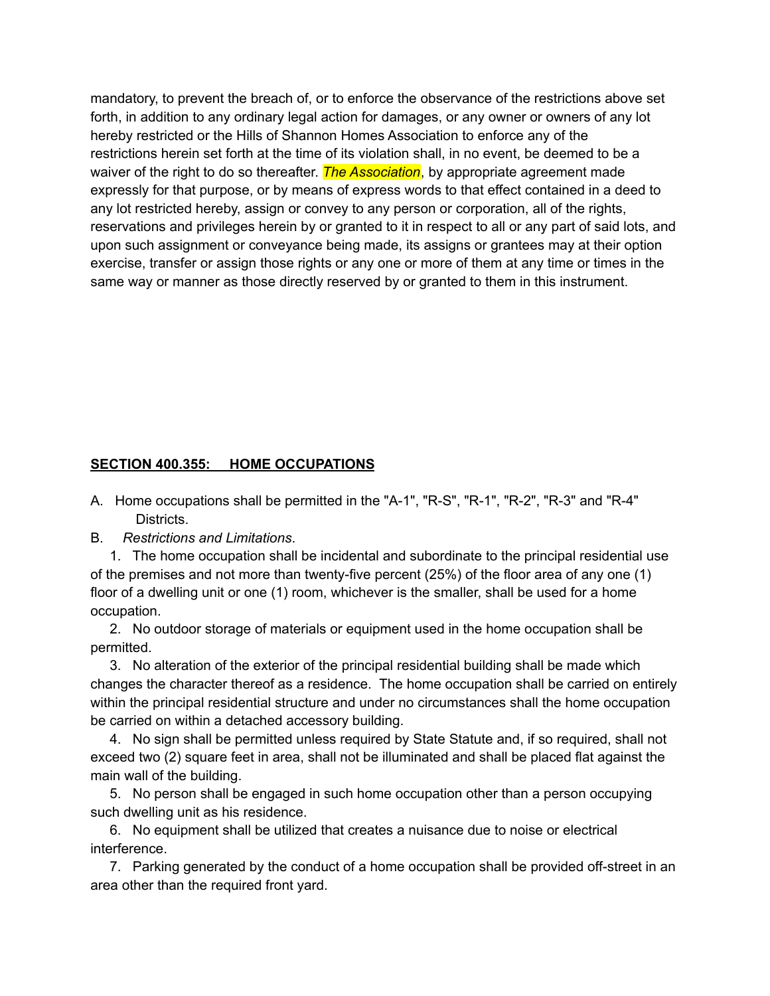mandatory, to prevent the breach of, or to enforce the observance of the restrictions above set forth, in addition to any ordinary legal action for damages, or any owner or owners of any lot hereby restricted or the Hills of Shannon Homes Association to enforce any of the restrictions herein set forth at the time of its violation shall, in no event, be deemed to be a waiver of the right to do so thereafter. *The Association*, by appropriate agreement made expressly for that purpose, or by means of express words to that effect contained in a deed to any lot restricted hereby, assign or convey to any person or corporation, all of the rights, reservations and privileges herein by or granted to it in respect to all or any part of said lots, and upon such assignment or conveyance being made, its assigns or grantees may at their option exercise, transfer or assign those rights or any one or more of them at any time or times in the same way or manner as those directly reserved by or granted to them in this instrument.

### **SECTION 400.355: HOME OCCUPATIONS**

- A. Home occupations shall be permitted in the "A-1", "R-S", "R-1", "R-2", "R-3" and "R-4" Districts.
- B. *Restrictions and Limitations*.

1. The home occupation shall be incidental and subordinate to the principal residential use of the premises and not more than twenty-five percent (25%) of the floor area of any one (1) floor of a dwelling unit or one (1) room, whichever is the smaller, shall be used for a home occupation.

2. No outdoor storage of materials or equipment used in the home occupation shall be permitted.

3. No alteration of the exterior of the principal residential building shall be made which changes the character thereof as a residence. The home occupation shall be carried on entirely within the principal residential structure and under no circumstances shall the home occupation be carried on within a detached accessory building.

4. No sign shall be permitted unless required by State Statute and, if so required, shall not exceed two (2) square feet in area, shall not be illuminated and shall be placed flat against the main wall of the building.

5. No person shall be engaged in such home occupation other than a person occupying such dwelling unit as his residence.

6. No equipment shall be utilized that creates a nuisance due to noise or electrical interference.

7. Parking generated by the conduct of a home occupation shall be provided off-street in an area other than the required front yard.